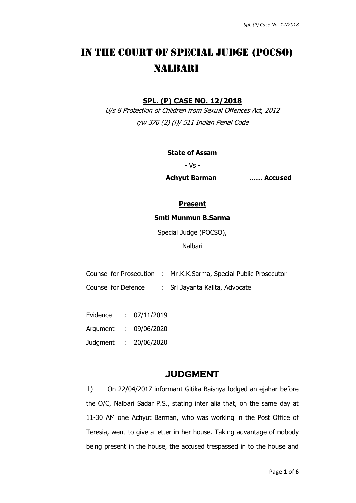# IN THE COURT OF SPECIAL JUDGE (POCSO) NALBARI

# **SPL. (P) CASE NO. 12/2018**

U/s 8 Protection of Children from Sexual Offences Act, 2012 r/w 376 (2) (i)/ 511 Indian Penal Code

#### **State of Assam**

- Vs -

**Achyut Barman …… Accused**

## **Present**

#### **Smti Munmun B.Sarma**

Special Judge (POCSO),

Nalbari

Counsel for Prosecution : Mr.K.K.Sarma, Special Public Prosecutor

Counsel for Defence : Sri Jayanta Kalita, Advocate

Evidence : 07/11/2019 Argument : 09/06/2020 Judgment : 20/06/2020

# **JUDGMENT**

1) On 22/04/2017 informant Gitika Baishya lodged an ejahar before the O/C, Nalbari Sadar P.S., stating inter alia that, on the same day at 11-30 AM one Achyut Barman, who was working in the Post Office of Teresia, went to give a letter in her house. Taking advantage of nobody being present in the house, the accused trespassed in to the house and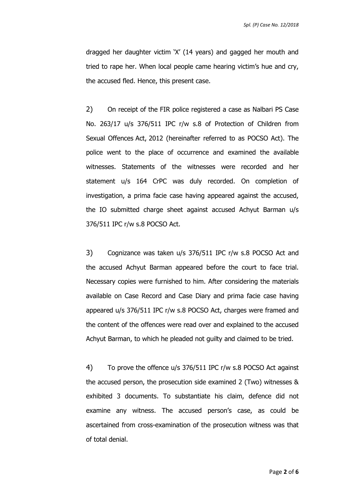dragged her daughter victim 'X' (14 years) and gagged her mouth and tried to rape her. When local people came hearing victim's hue and cry, the accused fled. Hence, this present case.

2) On receipt of the FIR police registered a case as Nalbari PS Case No. 263/17 u/s 376/511 IPC r/w s.8 of Protection of Children from Sexual Offences Act, 2012 (hereinafter referred to as POCSO Act). The police went to the place of occurrence and examined the available witnesses. Statements of the witnesses were recorded and her statement u/s 164 CrPC was duly recorded. On completion of investigation, a prima facie case having appeared against the accused, the IO submitted charge sheet against accused Achyut Barman u/s 376/511 IPC r/w s.8 POCSO Act.

3) Cognizance was taken u/s 376/511 IPC r/w s.8 POCSO Act and the accused Achyut Barman appeared before the court to face trial. Necessary copies were furnished to him. After considering the materials available on Case Record and Case Diary and prima facie case having appeared u/s 376/511 IPC r/w s.8 POCSO Act, charges were framed and the content of the offences were read over and explained to the accused Achyut Barman, to which he pleaded not guilty and claimed to be tried.

4) To prove the offence u/s 376/511 IPC r/w s.8 POCSO Act against the accused person, the prosecution side examined 2 (Two) witnesses & exhibited 3 documents. To substantiate his claim, defence did not examine any witness. The accused person's case, as could be ascertained from cross-examination of the prosecution witness was that of total denial.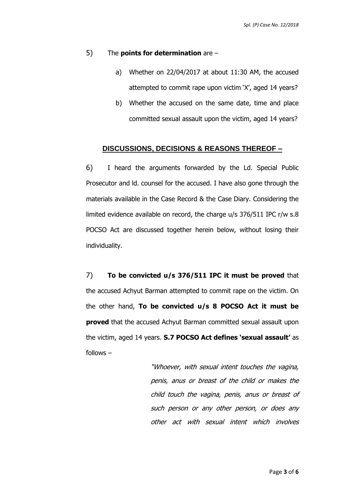#### 5) The **points for determination** are –

- a) Whether on 22/04/2017 at about 11:30 AM, the accused attempted to commit rape upon victim 'X', aged 14 years?
- b) Whether the accused on the same date, time and place committed sexual assault upon the victim, aged 14 years?

#### **DISCUSSIONS, DECISIONS & REASONS THEREOF –**

6) I heard the arguments forwarded by the Ld. Special Public Prosecutor and ld. counsel for the accused. I have also gone through the materials available in the Case Record & the Case Diary. Considering the limited evidence available on record, the charge u/s 376/511 IPC r/w s.8 POCSO Act are discussed together herein below, without losing their individuality.

7) **To be convicted u/s 376/511 IPC it must be proved** that the accused Achyut Barman attempted to commit rape on the victim. On the other hand, **To be convicted u/s 8 POCSO Act it must be proved** that the accused Achyut Barman committed sexual assault upon the victim, aged 14 years. **S.7 POCSO Act defines 'sexual assault'** as follows –

> "Whoever, with sexual intent touches the vagina, penis, anus or breast of the child or makes the child touch the vagina, penis, anus or breast of such person or any other person, or does any other act with sexual intent which involves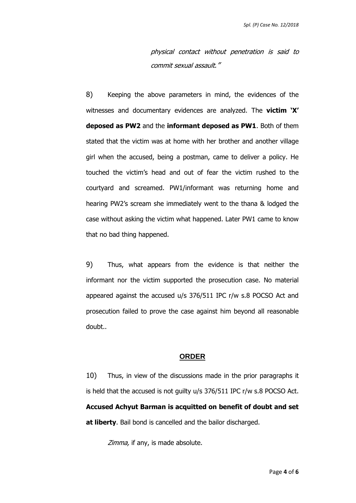physical contact without penetration is said to commit sexual assault."

8) Keeping the above parameters in mind, the evidences of the witnesses and documentary evidences are analyzed. The **victim 'X' deposed as PW2** and the **informant deposed as PW1**. Both of them stated that the victim was at home with her brother and another village girl when the accused, being a postman, came to deliver a policy. He touched the victim's head and out of fear the victim rushed to the courtyard and screamed. PW1/informant was returning home and hearing PW2's scream she immediately went to the thana & lodged the case without asking the victim what happened. Later PW1 came to know that no bad thing happened.

9) Thus, what appears from the evidence is that neither the informant nor the victim supported the prosecution case. No material appeared against the accused u/s 376/511 IPC r/w s.8 POCSO Act and prosecution failed to prove the case against him beyond all reasonable doubt..

### **ORDER**

10) Thus, in view of the discussions made in the prior paragraphs it is held that the accused is not guilty u/s 376/511 IPC r/w s.8 POCSO Act. **Accused Achyut Barman is acquitted on benefit of doubt and set at liberty**. Bail bond is cancelled and the bailor discharged.

Zimma, if any, is made absolute.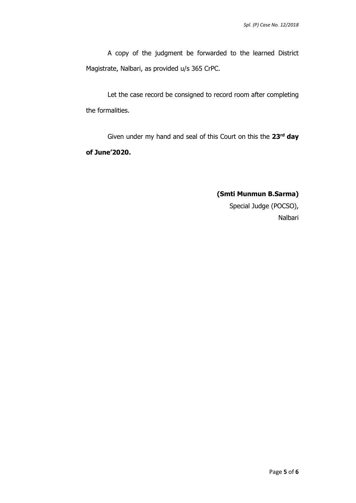A copy of the judgment be forwarded to the learned District Magistrate, Nalbari, as provided u/s 365 CrPC.

Let the case record be consigned to record room after completing the formalities.

Given under my hand and seal of this Court on this the **23rd day of June'2020.** 

# **(Smti Munmun B.Sarma)**

 Special Judge (POCSO), Nalbari